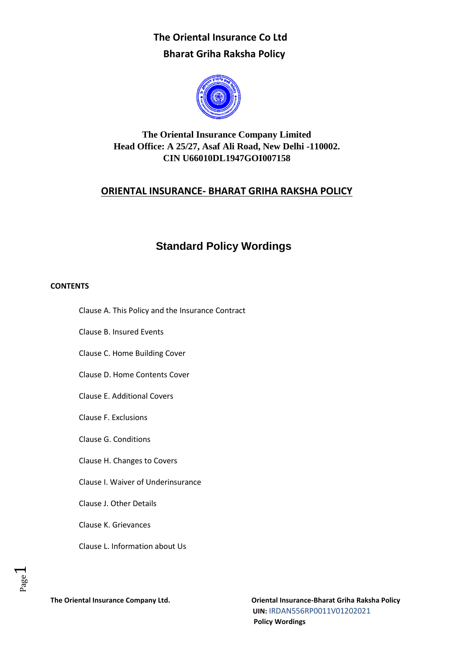

## **The Oriental Insurance Company Limited Head Office: A 25/27, Asaf Ali Road, New Delhi -110002. CIN U66010DL1947GOI007158**

### **ORIENTAL INSURANCE- BHARAT GRIHA RAKSHA POLICY**

## **Standard Policy Wordings**

#### **CONTENTS**

- Clause A. This Policy and the Insurance Contract
- Clause B. Insured Events
- Clause C. Home Building Cover
- Clause D. Home Contents Cover
- Clause E. Additional Covers
- Clause F. Exclusions
- Clause G. Conditions
- Clause H. Changes to Covers
- Clause I. Waiver of Underinsurance
- Clause J. Other Details
- Clause K. Grievances
- Clause L. Information about Us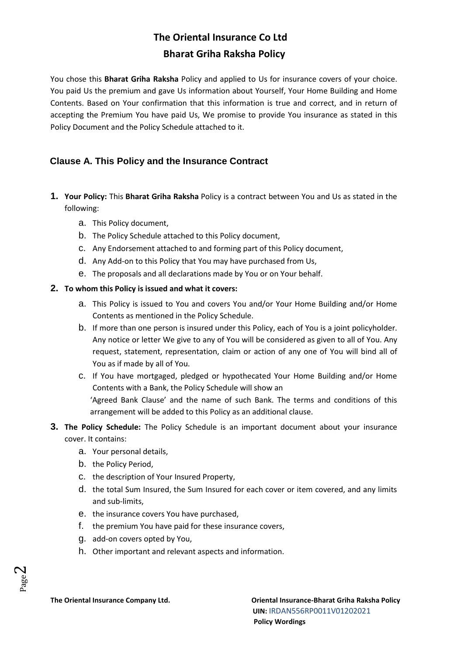You chose this **Bharat Griha Raksha** Policy and applied to Us for insurance covers of your choice. You paid Us the premium and gave Us information about Yourself, Your Home Building and Home Contents. Based on Your confirmation that this information is true and correct, and in return of accepting the Premium You have paid Us, We promise to provide You insurance as stated in this Policy Document and the Policy Schedule attached to it.

### **Clause A. This Policy and the Insurance Contract**

- **1. Your Policy:** This **Bharat Griha Raksha** Policy is a contract between You and Us as stated in the following:
	- a. This Policy document,
	- b. The Policy Schedule attached to this Policy document,
	- c. Any Endorsement attached to and forming part of this Policy document,
	- d. Any Add-on to this Policy that You may have purchased from Us,
	- e. The proposals and all declarations made by You or on Your behalf.

#### **2. To whom this Policy is issued and what it covers:**

- a. This Policy is issued to You and covers You and/or Your Home Building and/or Home Contents as mentioned in the Policy Schedule.
- b. If more than one person is insured under this Policy, each of You is a joint policyholder. Any notice or letter We give to any of You will be considered as given to all of You. Any request, statement, representation, claim or action of any one of You will bind all of You as if made by all of You.
- c. If You have mortgaged, pledged or hypothecated Your Home Building and/or Home Contents with a Bank, the Policy Schedule will show an 'Agreed Bank Clause' and the name of such Bank. The terms and conditions of this arrangement will be added to this Policy as an additional clause.
- **3. The Policy Schedule:** The Policy Schedule is an important document about your insurance cover. It contains:
	- a. Your personal details,
	- b. the Policy Period,
	- c. the description of Your Insured Property,
	- d. the total Sum Insured, the Sum Insured for each cover or item covered, and any limits and sub-limits,
	- e. the insurance covers You have purchased,
	- f. the premium You have paid for these insurance covers,
	- g. add-on covers opted by You,
	- h. Other important and relevant aspects and information.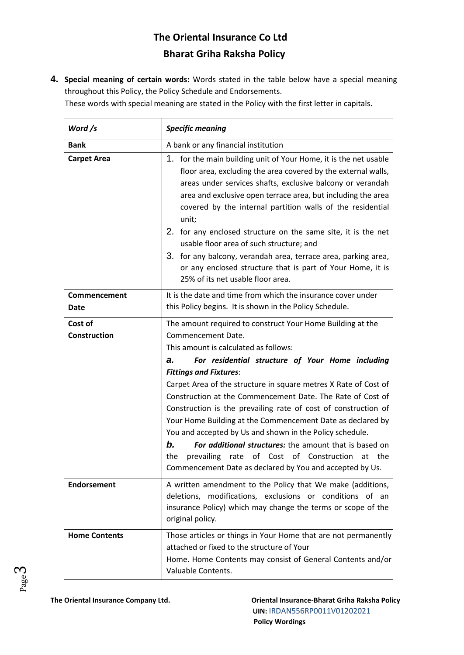**4. Special meaning of certain words:** Words stated in the table below have a special meaning throughout this Policy, the Policy Schedule and Endorsements.

These words with special meaning are stated in the Policy with the first letter in capitals.

| Word /s              | <b>Specific meaning</b>                                                                                                                                                                                                                                                                                                                                                                                                                                                                                                                                                                                                                                                              |  |
|----------------------|--------------------------------------------------------------------------------------------------------------------------------------------------------------------------------------------------------------------------------------------------------------------------------------------------------------------------------------------------------------------------------------------------------------------------------------------------------------------------------------------------------------------------------------------------------------------------------------------------------------------------------------------------------------------------------------|--|
| <b>Bank</b>          | A bank or any financial institution                                                                                                                                                                                                                                                                                                                                                                                                                                                                                                                                                                                                                                                  |  |
| <b>Carpet Area</b>   | 1. for the main building unit of Your Home, it is the net usable<br>floor area, excluding the area covered by the external walls,<br>areas under services shafts, exclusive balcony or verandah<br>area and exclusive open terrace area, but including the area<br>covered by the internal partition walls of the residential<br>unit;<br>2. for any enclosed structure on the same site, it is the net<br>usable floor area of such structure; and<br>3. for any balcony, verandah area, terrace area, parking area,<br>or any enclosed structure that is part of Your Home, it is<br>25% of its net usable floor area.                                                             |  |
| Commencement<br>Date | It is the date and time from which the insurance cover under<br>this Policy begins. It is shown in the Policy Schedule.                                                                                                                                                                                                                                                                                                                                                                                                                                                                                                                                                              |  |
| Cost of              | The amount required to construct Your Home Building at the                                                                                                                                                                                                                                                                                                                                                                                                                                                                                                                                                                                                                           |  |
| <b>Construction</b>  | Commencement Date.<br>This amount is calculated as follows:<br>For residential structure of Your Home including<br>а.<br><b>Fittings and Fixtures:</b><br>Carpet Area of the structure in square metres X Rate of Cost of<br>Construction at the Commencement Date. The Rate of Cost of<br>Construction is the prevailing rate of cost of construction of<br>Your Home Building at the Commencement Date as declared by<br>You and accepted by Us and shown in the Policy schedule.<br>b.<br>For additional structures: the amount that is based on<br>of Cost of Construction<br>the<br>prevailing<br>rate<br>at<br>the<br>Commencement Date as declared by You and accepted by Us. |  |
| <b>Endorsement</b>   | A written amendment to the Policy that We make (additions,<br>deletions, modifications, exclusions or conditions of an<br>insurance Policy) which may change the terms or scope of the<br>original policy.                                                                                                                                                                                                                                                                                                                                                                                                                                                                           |  |
| <b>Home Contents</b> | Those articles or things in Your Home that are not permanently<br>attached or fixed to the structure of Your<br>Home. Home Contents may consist of General Contents and/or<br>Valuable Contents.                                                                                                                                                                                                                                                                                                                                                                                                                                                                                     |  |

Page ო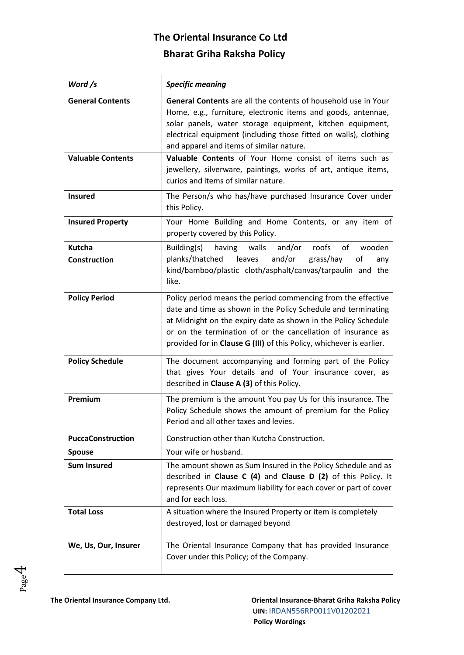| Word /s                       | <b>Specific meaning</b>                                                                                                                                                                                                                                                                                                                 |  |
|-------------------------------|-----------------------------------------------------------------------------------------------------------------------------------------------------------------------------------------------------------------------------------------------------------------------------------------------------------------------------------------|--|
| <b>General Contents</b>       | General Contents are all the contents of household use in Your<br>Home, e.g., furniture, electronic items and goods, antennae,<br>solar panels, water storage equipment, kitchen equipment,<br>electrical equipment (including those fitted on walls), clothing<br>and apparel and items of similar nature.                             |  |
| <b>Valuable Contents</b>      | Valuable Contents of Your Home consist of items such as<br>jewellery, silverware, paintings, works of art, antique items,<br>curios and items of similar nature.                                                                                                                                                                        |  |
| <b>Insured</b>                | The Person/s who has/have purchased Insurance Cover under<br>this Policy.                                                                                                                                                                                                                                                               |  |
| <b>Insured Property</b>       | Your Home Building and Home Contents, or any item of<br>property covered by this Policy.                                                                                                                                                                                                                                                |  |
| Kutcha<br><b>Construction</b> | walls<br>and/or<br>roofs<br>of<br>Building(s)<br>having<br>wooden<br>and/or<br>planks/thatched leaves<br>grass/hay<br>of<br>any<br>kind/bamboo/plastic cloth/asphalt/canvas/tarpaulin and the<br>like.                                                                                                                                  |  |
| <b>Policy Period</b>          | Policy period means the period commencing from the effective<br>date and time as shown in the Policy Schedule and terminating<br>at Midnight on the expiry date as shown in the Policy Schedule<br>or on the termination of or the cancellation of insurance as<br>provided for in Clause G (III) of this Policy, whichever is earlier. |  |
| <b>Policy Schedule</b>        | The document accompanying and forming part of the Policy<br>that gives Your details and of Your insurance cover, as<br>described in Clause A (3) of this Policy.                                                                                                                                                                        |  |
| Premium                       | The premium is the amount You pay Us for this insurance. The<br>Policy Schedule shows the amount of premium for the Policy<br>Period and all other taxes and levies.                                                                                                                                                                    |  |
| <b>PuccaConstruction</b>      | Construction other than Kutcha Construction.                                                                                                                                                                                                                                                                                            |  |
| <b>Spouse</b>                 | Your wife or husband.                                                                                                                                                                                                                                                                                                                   |  |
| <b>Sum Insured</b>            | The amount shown as Sum Insured in the Policy Schedule and as<br>described in Clause C (4) and Clause D (2) of this Policy. It<br>represents Our maximum liability for each cover or part of cover<br>and for each loss.                                                                                                                |  |
| <b>Total Loss</b>             | A situation where the Insured Property or item is completely<br>destroyed, lost or damaged beyond                                                                                                                                                                                                                                       |  |
| We, Us, Our, Insurer          | The Oriental Insurance Company that has provided Insurance<br>Cover under this Policy; of the Company.                                                                                                                                                                                                                                  |  |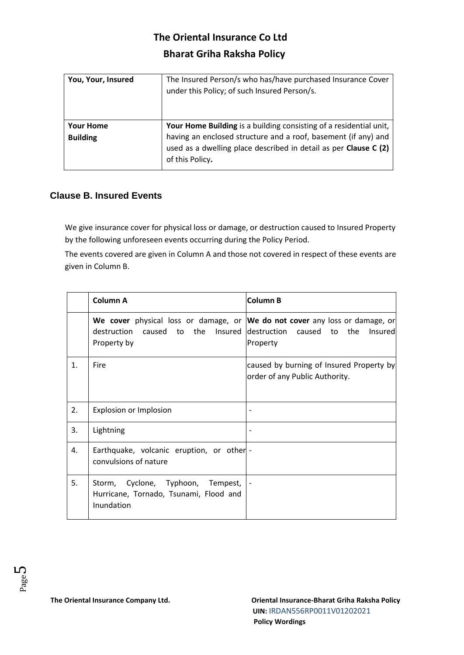| You, Your, Insured | The Insured Person/s who has/have purchased Insurance Cover<br>under this Policy; of such Insured Person/s. |
|--------------------|-------------------------------------------------------------------------------------------------------------|
| <b>Your Home</b>   | Your Home Building is a building consisting of a residential unit,                                          |
| <b>Building</b>    | having an enclosed structure and a roof, basement (if any) and                                              |
|                    | used as a dwelling place described in detail as per Clause C (2)<br>of this Policy.                         |

### **Clause B. Insured Events**

We give insurance cover for physical loss or damage, or destruction caused to Insured Property by the following unforeseen events occurring during the Policy Period.

The events covered are given in Column A and those not covered in respect of these events are given in Column B.

|    | <b>Column A</b>                                                                                                               | <b>Column B</b>                                                            |
|----|-------------------------------------------------------------------------------------------------------------------------------|----------------------------------------------------------------------------|
|    | We cover physical loss or damage, or We do not cover any loss or damage, or<br>destruction<br>caused to<br>the<br>Property by | Insured destruction caused to<br>the Insured<br>Property                   |
| 1. | Fire                                                                                                                          | caused by burning of Insured Property by<br>order of any Public Authority. |
| 2. | Explosion or Implosion                                                                                                        |                                                                            |
| 3. | Lightning                                                                                                                     |                                                                            |
| 4. | Earthquake, volcanic eruption, or other -<br>convulsions of nature                                                            |                                                                            |
| 5. | Storm, Cyclone, Typhoon, Tempest,<br>Hurricane, Tornado, Tsunami, Flood and<br>Inundation                                     |                                                                            |

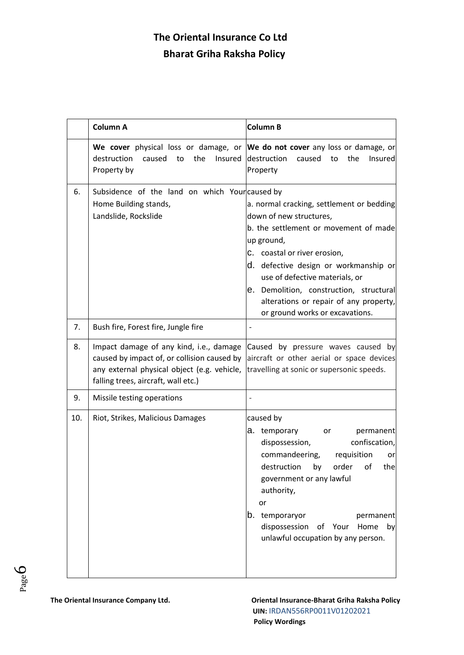|     | Column A                                                                                                                                                                     | <b>Column B</b>                                                                                                                                                                                                                                                                                                                                                |
|-----|------------------------------------------------------------------------------------------------------------------------------------------------------------------------------|----------------------------------------------------------------------------------------------------------------------------------------------------------------------------------------------------------------------------------------------------------------------------------------------------------------------------------------------------------------|
|     | We cover physical loss or damage, or We do not cover any loss or damage, or<br>destruction<br>the<br>Insured<br>caused to<br>Property by                                     | destruction<br>caused<br>to<br>the<br><b>Insured</b><br>Property                                                                                                                                                                                                                                                                                               |
| 6.  | Subsidence of the land on which Yourcaused by<br>Home Building stands,<br>Landslide, Rockslide                                                                               | a. normal cracking, settlement or bedding<br>down of new structures,<br>b. the settlement or movement of made<br>up ground,<br>C. coastal or river erosion,<br>d. defective design or workmanship or<br>use of defective materials, or<br>e. Demolition, construction, structural<br>alterations or repair of any property,<br>or ground works or excavations. |
| 7.  | Bush fire, Forest fire, Jungle fire                                                                                                                                          |                                                                                                                                                                                                                                                                                                                                                                |
| 8.  | Impact damage of any kind, i.e., damage<br>caused by impact of, or collision caused by<br>any external physical object (e.g. vehicle,<br>falling trees, aircraft, wall etc.) | Caused by pressure waves caused by<br>aircraft or other aerial or space devices<br>travelling at sonic or supersonic speeds.                                                                                                                                                                                                                                   |
| 9.  | Missile testing operations                                                                                                                                                   |                                                                                                                                                                                                                                                                                                                                                                |
| 10. | Riot, Strikes, Malicious Damages                                                                                                                                             | caused by<br>a. temporary<br>permanent<br>or<br>confiscation,<br>dispossession,<br>commandeering,<br>requisition<br>or<br>destruction by order of<br>the<br>government or any lawful<br>authority,<br>or<br>b. temporaryor<br>permanent<br>dispossession of Your<br>Home<br>by<br>unlawful occupation by any person.                                           |

Page 6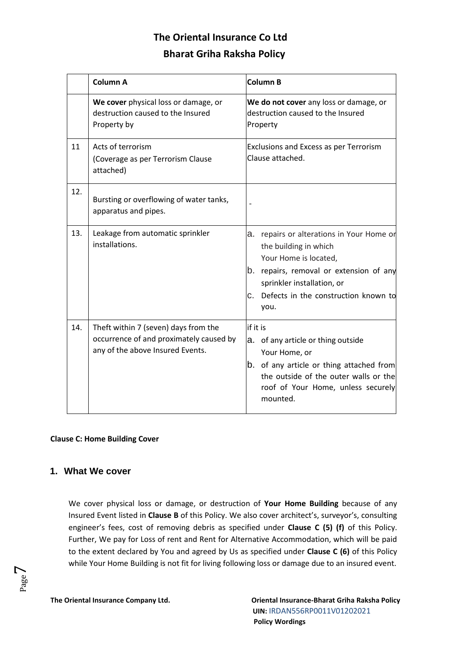|     | Column A                                                                                                            | <b>Column B</b>                                                                                                                                                                                                               |
|-----|---------------------------------------------------------------------------------------------------------------------|-------------------------------------------------------------------------------------------------------------------------------------------------------------------------------------------------------------------------------|
|     | We cover physical loss or damage, or<br>destruction caused to the Insured<br>Property by                            | We do not cover any loss or damage, or<br>destruction caused to the Insured<br>Property                                                                                                                                       |
| 11  | Acts of terrorism<br>(Coverage as per Terrorism Clause<br>attached)                                                 | Exclusions and Excess as per Terrorism<br>Clause attached.                                                                                                                                                                    |
| 12. | Bursting or overflowing of water tanks,<br>apparatus and pipes.                                                     |                                                                                                                                                                                                                               |
| 13. | Leakage from automatic sprinkler<br>installations.                                                                  | repairs or alterations in Your Home or<br>a.<br>the building in which<br>Your Home is located,<br>b. repairs, removal or extension of any<br>sprinkler installation, or<br>Defects in the construction known to<br>C.<br>you. |
| 14. | Theft within 7 (seven) days from the<br>occurrence of and proximately caused by<br>any of the above Insured Events. | if it is<br>a. of any article or thing outside<br>Your Home, or<br>b. of any article or thing attached from<br>the outside of the outer walls or the<br>roof of Your Home, unless securely<br>mounted.                        |

**Clause C: Home Building Cover** 

### **1. What We cover**

We cover physical loss or damage, or destruction of **Your Home Building** because of any Insured Event listed in **Clause B** of this Policy. We also cover architect's, surveyor's, consulting engineer's fees, cost of removing debris as specified under **Clause C (5) (f)** of this Policy. Further, We pay for Loss of rent and Rent for Alternative Accommodation, which will be paid to the extent declared by You and agreed by Us as specified under **Clause C (6)** of this Policy while Your Home Building is not fit for living following loss or damage due to an insured event.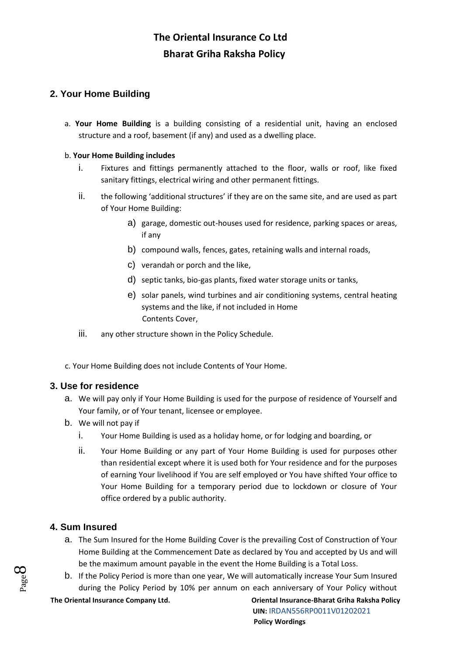## **2. Your Home Building**

a. **Your Home Building** is a building consisting of a residential unit, having an enclosed structure and a roof, basement (if any) and used as a dwelling place.

#### b. **Your Home Building includes**

- i. Fixtures and fittings permanently attached to the floor, walls or roof, like fixed sanitary fittings, electrical wiring and other permanent fittings.
- ii. the following 'additional structures' if they are on the same site, and are used as part of Your Home Building:
	- a) garage, domestic out-houses used for residence, parking spaces or areas, if any
	- b) compound walls, fences, gates, retaining walls and internal roads,
	- c) verandah or porch and the like,
	- d) septic tanks, bio-gas plants, fixed water storage units or tanks,
	- e) solar panels, wind turbines and air conditioning systems, central heating systems and the like, if not included in Home Contents Cover,
- iii. any other structure shown in the Policy Schedule.

c. Your Home Building does not include Contents of Your Home.

### **3. Use for residence**

- a. We will pay only if Your Home Building is used for the purpose of residence of Yourself and Your family, or of Your tenant, licensee or employee.
- b. We will not pay if
	- i. Your Home Building is used as a holiday home, or for lodging and boarding, or
	- ii. Your Home Building or any part of Your Home Building is used for purposes other than residential except where it is used both for Your residence and for the purposes of earning Your livelihood if You are self employed or You have shifted Your office to Your Home Building for a temporary period due to lockdown or closure of Your office ordered by a public authority.

### **4. Sum Insured**

- a. The Sum Insured for the Home Building Cover is the prevailing Cost of Construction of Your Home Building at the Commencement Date as declared by You and accepted by Us and will be the maximum amount payable in the event the Home Building is a Total Loss.
- b. If the Policy Period is more than one year, We will automatically increase Your Sum Insured during the Policy Period by 10% per annum on each anniversary of Your Policy without

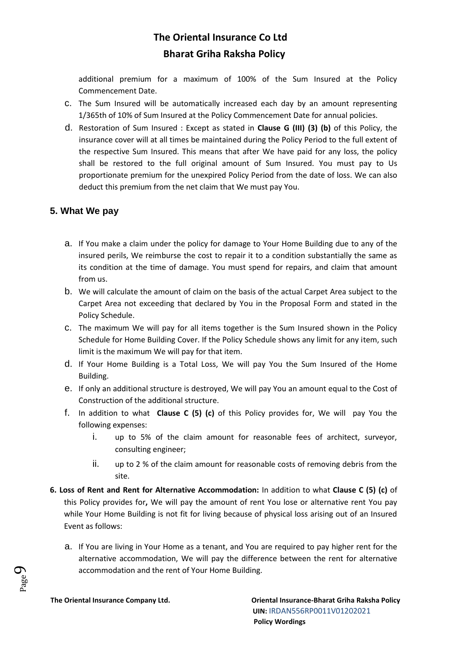additional premium for a maximum of 100% of the Sum Insured at the Policy Commencement Date.

- c. The Sum Insured will be automatically increased each day by an amount representing 1/365th of 10% of Sum Insured at the Policy Commencement Date for annual policies.
- d. Restoration of Sum Insured : Except as stated in **Clause G (III) (3) (b)** of this Policy, the insurance cover will at all times be maintained during the Policy Period to the full extent of the respective Sum Insured. This means that after We have paid for any loss, the policy shall be restored to the full original amount of Sum Insured. You must pay to Us proportionate premium for the unexpired Policy Period from the date of loss. We can also deduct this premium from the net claim that We must pay You.

### **5. What We pay**

- a. If You make a claim under the policy for damage to Your Home Building due to any of the insured perils, We reimburse the cost to repair it to a condition substantially the same as its condition at the time of damage. You must spend for repairs, and claim that amount from us.
- b. We will calculate the amount of claim on the basis of the actual Carpet Area subject to the Carpet Area not exceeding that declared by You in the Proposal Form and stated in the Policy Schedule.
- c. The maximum We will pay for all items together is the Sum Insured shown in the Policy Schedule for Home Building Cover. If the Policy Schedule shows any limit for any item, such limit is the maximum We will pay for that item.
- d. If Your Home Building is a Total Loss, We will pay You the Sum Insured of the Home Building.
- e. If only an additional structure is destroyed, We will pay You an amount equal to the Cost of Construction of the additional structure.
- f. In addition to what **Clause C (5) (c)** of this Policy provides for, We will pay You the following expenses:
	- i. up to 5% of the claim amount for reasonable fees of architect, surveyor, consulting engineer;
	- ii. up to 2 % of the claim amount for reasonable costs of removing debris from the site.
- **6. Loss of Rent and Rent for Alternative Accommodation:** In addition to what **Clause C (5) (c)** of this Policy provides for**,** We will pay the amount of rent You lose or alternative rent You pay while Your Home Building is not fit for living because of physical loss arising out of an Insured Event as follows:
	- a. If You are living in Your Home as a tenant, and You are required to pay higher rent for the alternative accommodation, We will pay the difference between the rent for alternative accommodation and the rent of Your Home Building.

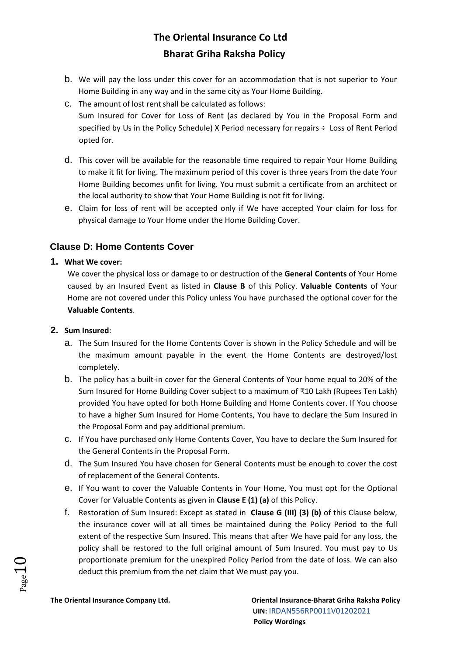- b. We will pay the loss under this cover for an accommodation that is not superior to Your Home Building in any way and in the same city as Your Home Building.
- c. The amount of lost rentshall be calculated as follows:

Sum Insured for Cover for Loss of Rent (as declared by You in the Proposal Form and specified by Us in the Policy Schedule) X Period necessary for repairs ÷ Loss of Rent Period opted for.

- d. This cover will be available for the reasonable time required to repair Your Home Building to make it fit for living. The maximum period of this cover is three years from the date Your Home Building becomes unfit for living. You must submit a certificate from an architect or the local authority to show that Your Home Building is not fit for living.
- e. Claim for loss of rent will be accepted only if We have accepted Your claim for loss for physical damage to Your Home under the Home Building Cover.

### **Clause D: Home Contents Cover**

#### **1. What We cover:**

We cover the physical loss or damage to or destruction of the **General Contents** of Your Home caused by an Insured Event as listed in **Clause B** of this Policy. **Valuable Contents** of Your Home are not covered under this Policy unless You have purchased the optional cover for the **Valuable Contents**.

#### **2. Sum Insured**:

- a. The Sum Insured for the Home Contents Cover is shown in the Policy Schedule and will be the maximum amount payable in the event the Home Contents are destroyed/lost completely.
- b. The policy has a built-in cover for the General Contents of Your home equal to 20% of the Sum Insured for Home Building Cover subject to a maximum of ₹10 Lakh (Rupees Ten Lakh) provided You have opted for both Home Building and Home Contents cover. If You choose to have a higher Sum Insured for Home Contents, You have to declare the Sum Insured in the Proposal Form and pay additional premium.
- c. If You have purchased only Home Contents Cover, You have to declare the Sum Insured for the General Contents in the Proposal Form.
- d. The Sum Insured You have chosen for General Contents must be enough to cover the cost of replacement of the General Contents.
- e. If You want to cover the Valuable Contents in Your Home, You must opt for the Optional Cover for Valuable Contents as given in **Clause E (1) (a)** of this Policy.
- f. Restoration of Sum Insured: Except as stated in **Clause G (III) (3) (b)** of this Clause below, the insurance cover will at all times be maintained during the Policy Period to the full extent of the respective Sum Insured. This means that after We have paid for any loss, the policy shall be restored to the full original amount of Sum Insured. You must pay to Us proportionate premium for the unexpired Policy Period from the date of loss. We can also deduct this premium from the net claim that We must pay you.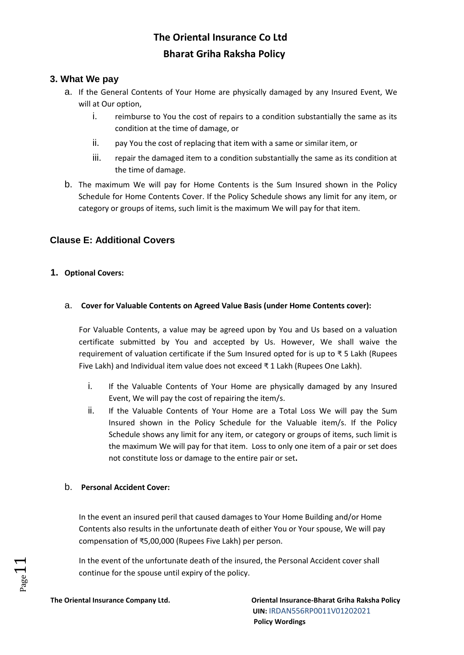### **3. What We pay**

- a. If the General Contents of Your Home are physically damaged by any Insured Event, We will at Our option,
	- i. reimburse to You the cost of repairs to a condition substantially the same as its condition at the time of damage, or
	- ii. pay You the cost of replacing that item with a same or similar item, or
	- iii. repair the damaged item to a condition substantially the same as its condition at the time of damage.
- b. The maximum We will pay for Home Contents is the Sum Insured shown in the Policy Schedule for Home Contents Cover. If the Policy Schedule shows any limit for any item, or category or groups of items, such limit is the maximum We will pay for that item.

### **Clause E: Additional Covers**

#### **1. Optional Covers:**

a. **Cover for Valuable Contents on Agreed Value Basis (under Home Contents cover):**

For Valuable Contents, a value may be agreed upon by You and Us based on a valuation certificate submitted by You and accepted by Us. However, We shall waive the requirement of valuation certificate if the Sum Insured opted for is up to ₹ 5 Lakh (Rupees Five Lakh) and Individual item value does not exceed ₹ 1 Lakh (Rupees One Lakh).

- i. If the Valuable Contents of Your Home are physically damaged by any Insured Event, We will pay the cost of repairing the item/s.
- ii. If the Valuable Contents of Your Home are a Total Loss We will pay the Sum Insured shown in the Policy Schedule for the Valuable item/s. If the Policy Schedule shows any limit for any item, or category or groups of items, such limit is the maximum We will pay for that item. Loss to only one item of a pair or set does not constitute loss or damage to the entire pair or set**.**

#### b. **Personal Accident Cover:**

In the event an insured peril that caused damages to Your Home Building and/or Home Contents also results in the unfortunate death of either You or Your spouse, We will pay compensation of ₹5,00,000 (Rupees Five Lakh) per person.

In the event of the unfortunate death of the insured, the Personal Accident cover shall continue for the spouse until expiry of the policy.

 $_{\rm Page}11$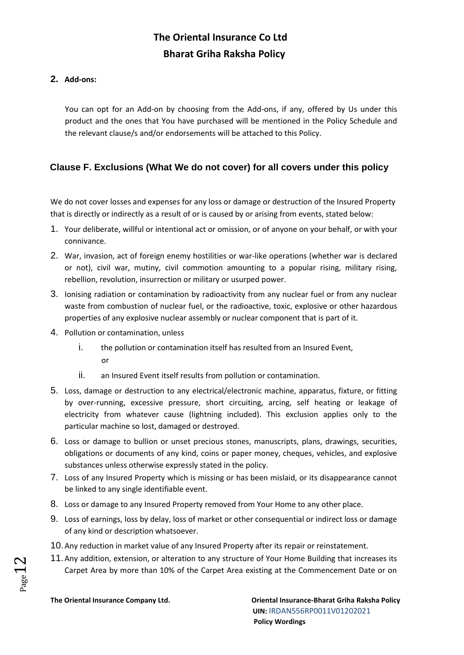#### **2. Add-ons:**

You can opt for an Add-on by choosing from the Add-ons, if any, offered by Us under this product and the ones that You have purchased will be mentioned in the Policy Schedule and the relevant clause/s and/or endorsements will be attached to this Policy.

### **Clause F. Exclusions (What We do not cover) for all covers under this policy**

We do not cover losses and expenses for any loss or damage or destruction of the Insured Property that is directly or indirectly as a result of or is caused by or arising from events, stated below:

- 1. Your deliberate, willful or intentional act or omission, or of anyone on your behalf, or with your connivance.
- 2. War, invasion, act of foreign enemy hostilities or war-like operations (whether war is declared or not), civil war, mutiny, civil commotion amounting to a popular rising, military rising, rebellion, revolution, insurrection or military or usurped power.
- 3. Ionising radiation or contamination by radioactivity from any nuclear fuel or from any nuclear waste from combustion of nuclear fuel, or the radioactive, toxic, explosive or other hazardous properties of any explosive nuclear assembly or nuclear component that is part of it.
- 4. Pollution or contamination, unless
	- i. the pollution or contamination itself has resulted from an Insured Event, or
	- ii. an Insured Event itself results from pollution or contamination.
- 5. Loss, damage or destruction to any electrical/electronic machine, apparatus, fixture, or fitting by over-running, excessive pressure, short circuiting, arcing, self heating or leakage of electricity from whatever cause (lightning included). This exclusion applies only to the particular machine so lost, damaged or destroyed.
- 6. Loss or damage to bullion or unset precious stones, manuscripts, plans, drawings, securities, obligations or documents of any kind, coins or paper money, cheques, vehicles, and explosive substances unless otherwise expressly stated in the policy.
- 7. Loss of any Insured Property which is missing or has been mislaid, or its disappearance cannot be linked to any single identifiable event.
- 8. Loss or damage to any Insured Property removed from Your Home to any other place.
- 9. Loss of earnings, loss by delay, loss of market or other consequential or indirect loss or damage of any kind or description whatsoever.
- 10.Any reduction in market value of any Insured Property after its repair or reinstatement.
- 11.Any addition, extension, or alteration to any structure of Your Home Building that increases its Carpet Area by more than 10% of the Carpet Area existing at the Commencement Date or on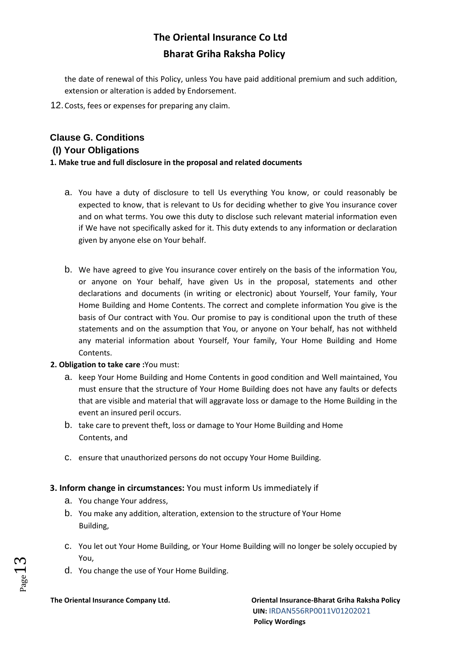the date of renewal of this Policy, unless You have paid additional premium and such addition, extension or alteration is added by Endorsement.

12.Costs, fees or expenses for preparing any claim.

## **Clause G. Conditions (I) Your Obligations**

#### **1. Make true and full disclosure in the proposal and related documents**

- a. You have a duty of disclosure to tell Us everything You know, or could reasonably be expected to know, that is relevant to Us for deciding whether to give You insurance cover and on what terms. You owe this duty to disclose such relevant material information even if We have not specifically asked for it. This duty extends to any information or declaration given by anyone else on Your behalf.
- b. We have agreed to give You insurance cover entirely on the basis of the information You, or anyone on Your behalf, have given Us in the proposal, statements and other declarations and documents (in writing or electronic) about Yourself, Your family, Your Home Building and Home Contents. The correct and complete information You give is the basis of Our contract with You. Our promise to pay is conditional upon the truth of these statements and on the assumption that You, or anyone on Your behalf, has not withheld any material information about Yourself, Your family, Your Home Building and Home Contents.

#### **2. Obligation to take care :**You must:

- a. keep Your Home Building and Home Contents in good condition and Well maintained, You must ensure that the structure of Your Home Building does not have any faults or defects that are visible and material that will aggravate loss or damage to the Home Building in the event an insured peril occurs.
- b. take care to prevent theft, loss or damage to Your Home Building and Home Contents, and
- c. ensure that unauthorized persons do not occupy Your Home Building.

### **3. Inform change in circumstances:** You must inform Us immediately if

- a. You change Your address,
- b. You make any addition, alteration, extension to the structure of Your Home Building,
- c. You let out Your Home Building, or Your Home Building will no longer be solely occupied by You,
- d. You change the use of Your Home Building.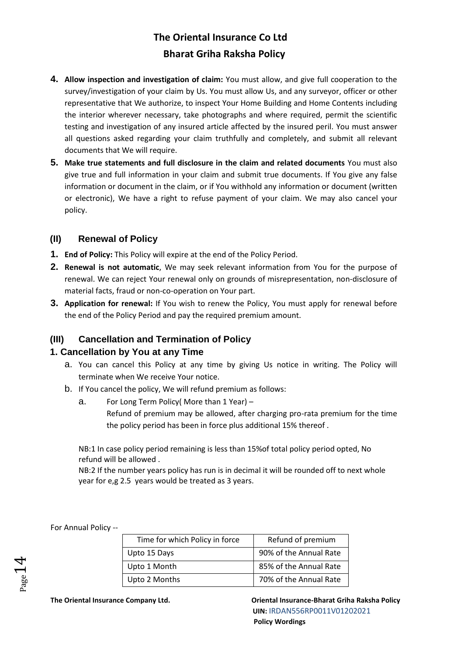- **4. Allow inspection and investigation of claim:** You must allow, and give full cooperation to the survey/investigation of your claim by Us. You must allow Us, and any surveyor, officer or other representative that We authorize, to inspect Your Home Building and Home Contents including the interior wherever necessary, take photographs and where required, permit the scientific testing and investigation of any insured article affected by the insured peril. You must answer all questions asked regarding your claim truthfully and completely, and submit all relevant documents that We will require.
- **5. Make true statements and full disclosure in the claim and related documents** You must also give true and full information in your claim and submit true documents. If You give any false information or document in the claim, or if You withhold any information or document (written or electronic), We have a right to refuse payment of your claim. We may also cancel your policy.

### **(II) Renewal of Policy**

- **1. End of Policy:** This Policy will expire at the end of the Policy Period.
- **2. Renewal is not automatic**, We may seek relevant information from You for the purpose of renewal. We can reject Your renewal only on grounds of misrepresentation, non-disclosure of material facts, fraud or non-co-operation on Your part.
- **3. Application for renewal:** If You wish to renew the Policy, You must apply for renewal before the end of the Policy Period and pay the required premium amount.

### **(III) Cancellation and Termination of Policy**

### **1. Cancellation by You at any Time**

- a. You can cancel this Policy at any time by giving Us notice in writing. The Policy will terminate when We receive Your notice.
- b. If You cancel the policy, We will refund premium as follows:
	- a. For Long Term Policy( More than 1 Year) Refund of premium may be allowed, after charging pro-rata premium for the time the policy period has been in force plus additional 15% thereof .

NB:1 In case policy period remaining is less than 15%of total policy period opted, No refund will be allowed .

NB:2 If the number years policy has run is in decimal it will be rounded off to next whole year for e,g 2.5 years would be treated as 3 years.

| age |  |
|-----|--|

For Annual Policy --

| Time for which Policy in force | Refund of premium      |
|--------------------------------|------------------------|
| Upto 15 Days                   | 90% of the Annual Rate |
| Upto 1 Month                   | 85% of the Annual Rate |
| Upto 2 Months                  | 70% of the Annual Rate |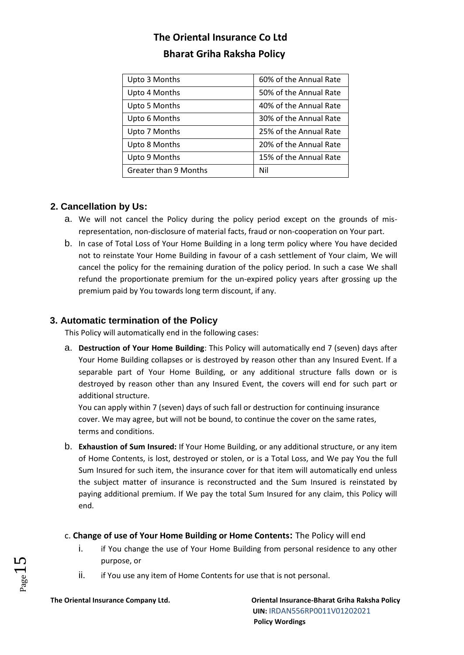| Upto 3 Months         | 60% of the Annual Rate |
|-----------------------|------------------------|
| Upto 4 Months         | 50% of the Annual Rate |
| Upto 5 Months         | 40% of the Annual Rate |
| Upto 6 Months         | 30% of the Annual Rate |
| Upto 7 Months         | 25% of the Annual Rate |
| Upto 8 Months         | 20% of the Annual Rate |
| Upto 9 Months         | 15% of the Annual Rate |
| Greater than 9 Months | Nil                    |

## **2. Cancellation by Us:**

- a. We will not cancel the Policy during the policy period except on the grounds of misrepresentation, non-disclosure of material facts, fraud or non-cooperation on Your part.
- b. In case of Total Loss of Your Home Building in a long term policy where You have decided not to reinstate Your Home Building in favour of a cash settlement of Your claim, We will cancel the policy for the remaining duration of the policy period. In such a case We shall refund the proportionate premium for the un-expired policy years after grossing up the premium paid by You towards long term discount, if any.

## **3. Automatic termination of the Policy**

This Policy will automatically end in the following cases:

a. **Destruction of Your Home Building**: This Policy will automatically end 7 (seven) days after Your Home Building collapses or is destroyed by reason other than any Insured Event. If a separable part of Your Home Building, or any additional structure falls down or is destroyed by reason other than any Insured Event, the covers will end for such part or additional structure.

You can apply within 7 (seven) days of such fall or destruction for continuing insurance cover. We may agree, but will not be bound, to continue the cover on the same rates, terms and conditions.

- b. **Exhaustion of Sum Insured:** If Your Home Building, or any additional structure, or any item of Home Contents, is lost, destroyed or stolen, or is a Total Loss, and We pay You the full Sum Insured for such item, the insurance cover for that item will automatically end unless the subject matter of insurance is reconstructed and the Sum Insured is reinstated by paying additional premium. If We pay the total Sum Insured for any claim, this Policy will end.
- c. **Change of use of Your Home Building or Home Contents:** The Policy will end
	- i. if You change the use of Your Home Building from personal residence to any other purpose, or
	- ii. if You use any item of Home Contents for use that is not personal.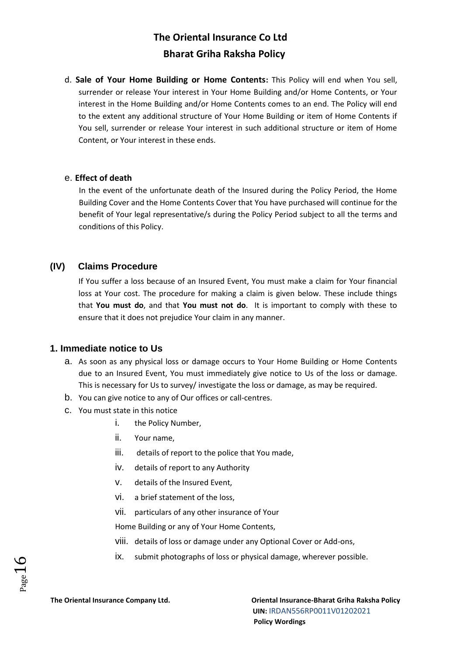d. **Sale of Your Home Building or Home Contents:** This Policy will end when You sell, surrender or release Your interest in Your Home Building and/or Home Contents, or Your interest in the Home Building and/or Home Contents comes to an end. The Policy will end to the extent any additional structure of Your Home Building or item of Home Contents if You sell, surrender or release Your interest in such additional structure or item of Home Content, or Your interest in these ends.

#### e. **Effect of death**

In the event of the unfortunate death of the Insured during the Policy Period, the Home Building Cover and the Home Contents Cover that You have purchased will continue for the benefit of Your legal representative/s during the Policy Period subject to all the terms and conditions of this Policy.

### **(IV) Claims Procedure**

If You suffer a loss because of an Insured Event, You must make a claim for Your financial loss at Your cost. The procedure for making a claim is given below. These include things that **You must do**, and that **You must not do**. It is important to comply with these to ensure that it does not prejudice Your claim in any manner.

#### **1. Immediate notice to Us**

- a. As soon as any physical loss or damage occurs to Your Home Building or Home Contents due to an Insured Event, You must immediately give notice to Us of the loss or damage. This is necessary for Us to survey/ investigate the loss or damage, as may be required.
- b. You can give notice to any of Our offices or call-centres.
- c. You must state in this notice
	- i. the Policy Number,
	- ii. Your name,
	- iii. details of report to the police that You made,
	- iv. details of report to any Authority
	- v. details of the Insured Event,
	- vi. a brief statement of the loss,
	- vii. particulars of any other insurance of Your

Home Building or any of Your Home Contents,

- viii. details of loss or damage under any Optional Cover or Add-ons,
- ix. submit photographs of loss or physical damage, wherever possible.

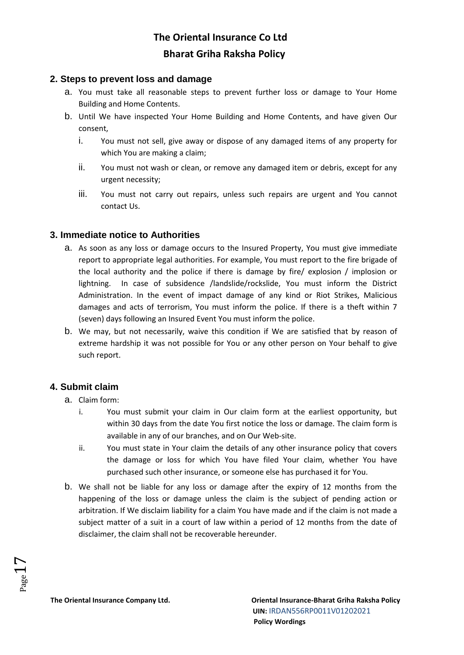#### **2. Steps to prevent loss and damage**

- a. You must take all reasonable steps to prevent further loss or damage to Your Home Building and Home Contents.
- b. Until We have inspected Your Home Building and Home Contents, and have given Our consent,
	- i. You must not sell, give away or dispose of any damaged items of any property for which You are making a claim;
	- ii. You must not wash or clean, or remove any damaged item or debris, except for any urgent necessity;
	- iii. You must not carry out repairs, unless such repairs are urgent and You cannot contact Us.

#### **3. Immediate notice to Authorities**

- a. As soon as any loss or damage occurs to the Insured Property, You must give immediate report to appropriate legal authorities. For example, You must report to the fire brigade of the local authority and the police if there is damage by fire/ explosion / implosion or lightning. In case of subsidence /landslide/rockslide, You must inform the District Administration. In the event of impact damage of any kind or Riot Strikes, Malicious damages and acts of terrorism, You must inform the police. If there is a theft within 7 (seven) days following an Insured Event You must inform the police.
- b. We may, but not necessarily, waive this condition if We are satisfied that by reason of extreme hardship it was not possible for You or any other person on Your behalf to give such report.

### **4. Submit claim**

- a. Claim form:
	- i. You must submit your claim in Our claim form at the earliest opportunity, but within 30 days from the date You first notice the loss or damage. The claim form is available in any of our branches, and on Our Web-site.
	- ii. You must state in Your claim the details of any other insurance policy that covers the damage or loss for which You have filed Your claim, whether You have purchased such other insurance, or someone else has purchased it for You.
- b. We shall not be liable for any loss or damage after the expiry of 12 months from the happening of the loss or damage unless the claim is the subject of pending action or arbitration. If We disclaim liability for a claim You have made and if the claim is not made a subject matter of a suit in a court of law within a period of 12 months from the date of disclaimer, the claim shall not be recoverable hereunder.

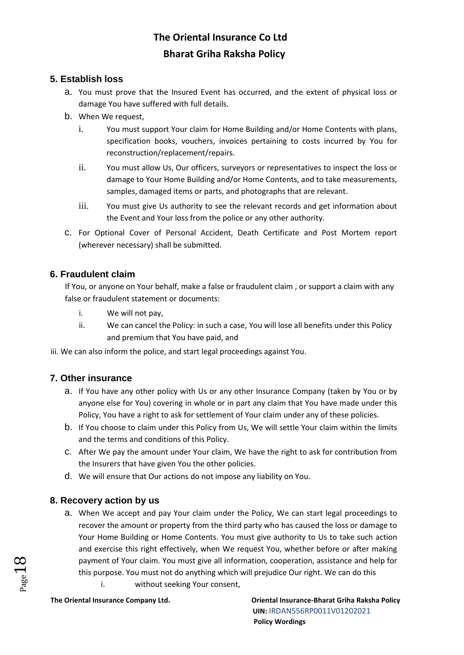### **5. Establish loss**

- a. You must prove that the Insured Event has occurred, and the extent of physical loss or damage You have suffered with full details.
- b. When We request,
	- i. You must support Your claim for Home Building and/or Home Contents with plans, specification books, vouchers, invoices pertaining to costs incurred by You for reconstruction/replacement/repairs.
	- ii. You must allow Us, Our officers, surveyors or representatives to inspect the loss or damage to Your Home Building and/or Home Contents, and to take measurements, samples, damaged items or parts, and photographs that are relevant.
	- iii. You must give Us authority to see the relevant records and get information about the Event and Your loss from the police or any other authority.
- c. For Optional Cover of Personal Accident, Death Certificate and Post Mortem report (wherever necessary) shall be submitted.

### **6. Fraudulent claim**

If You, or anyone on Your behalf, make a false or fraudulent claim , or support a claim with any false or fraudulent statement or documents:

- i. We will not pay,
- ii. We can cancel the Policy: in such a case, You will lose all benefits under this Policy and premium that You have paid, and

iii. We can also inform the police, and start legal proceedings against You.

### **7. Other insurance**

- a. If You have any other policy with Us or any other Insurance Company (taken by You or by anyone else for You) covering in whole or in part any claim that You have made under this Policy, You have a right to ask for settlement of Your claim under any of these policies.
- b. If You choose to claim under this Policy from Us, We will settle Your claim within the limits and the terms and conditions of this Policy.
- c. After We pay the amount under Your claim, We have the right to ask for contribution from the Insurers that have given You the other policies.
- d. We will ensure that Our actions do not impose any liability on You.

### **8. Recovery action by us**

- a. When We accept and pay Your claim under the Policy, We can start legal proceedings to recover the amount or property from the third party who has caused the loss or damage to Your Home Building or Home Contents. You must give authority to Us to take such action and exercise this right effectively, when We request You, whether before or after making payment of Your claim. You must give all information, cooperation, assistance and help for this purpose. You must not do anything which will prejudice Our right. We can do this
	- i. without seeking Your consent,

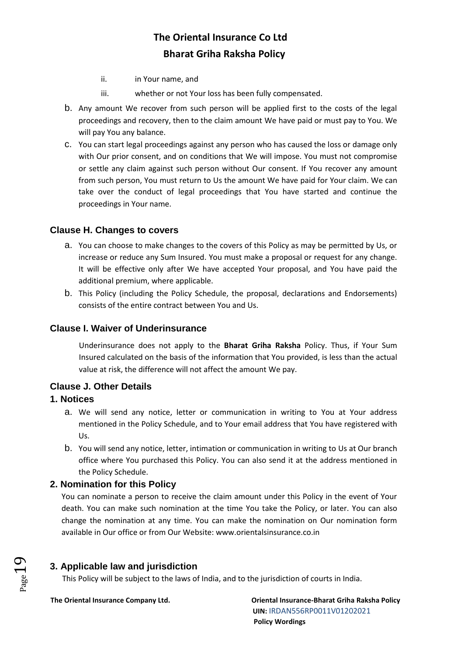- ii. in Your name, and
- iii. whether or not Your loss has been fully compensated.
- b. Any amount We recover from such person will be applied first to the costs of the legal proceedings and recovery, then to the claim amount We have paid or must pay to You. We will pay You any balance.
- c. You can start legal proceedings against any person who has caused the loss or damage only with Our prior consent, and on conditions that We will impose. You must not compromise or settle any claim against such person without Our consent. If You recover any amount from such person, You must return to Us the amount We have paid for Your claim. We can take over the conduct of legal proceedings that You have started and continue the proceedings in Your name.

### **Clause H. Changes to covers**

- a. You can choose to make changes to the covers of this Policy as may be permitted by Us, or increase or reduce any Sum Insured. You must make a proposal or request for any change. It will be effective only after We have accepted Your proposal, and You have paid the additional premium, where applicable.
- b. This Policy (including the Policy Schedule, the proposal, declarations and Endorsements) consists of the entire contract between You and Us.

#### **Clause I. Waiver of Underinsurance**

Underinsurance does not apply to the **Bharat Griha Raksha** Policy. Thus, if Your Sum Insured calculated on the basis of the information that You provided, is less than the actual value at risk, the difference will not affect the amount We pay.

#### **Clause J. Other Details**

#### **1. Notices**

- a. We will send any notice, letter or communication in writing to You at Your address mentioned in the Policy Schedule, and to Your email address that You have registered with Us.
- b. You will send any notice, letter, intimation or communication in writing to Us at Our branch office where You purchased this Policy. You can also send it at the address mentioned in the Policy Schedule.

#### **2. Nomination for this Policy**

You can nominate a person to receive the claim amount under this Policy in the event of Your death. You can make such nomination at the time You take the Policy, or later. You can also change the nomination at any time. You can make the nomination on Our nomination form available in Our office or from Our Website: www.orientalsinsurance.co.in

#### **3. Applicable law and jurisdiction**

This Policy will be subject to the laws of India, and to the jurisdiction of courts in India.

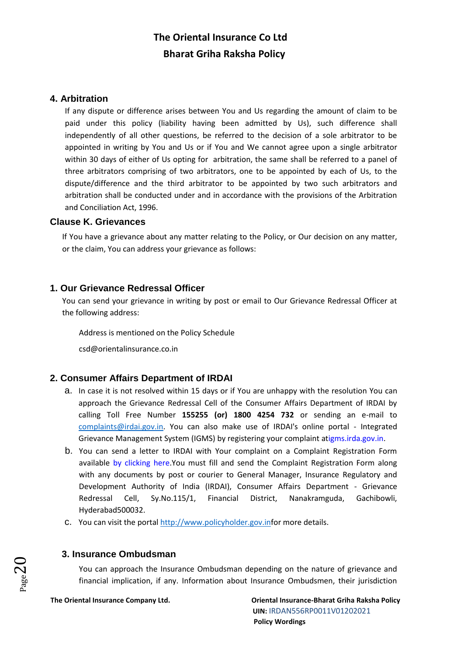#### **4. Arbitration**

If any dispute or difference arises between You and Us regarding the amount of claim to be paid under this policy (liability having been admitted by Us), such difference shall independently of all other questions, be referred to the decision of a sole arbitrator to be appointed in writing by You and Us or if You and We cannot agree upon a single arbitrator within 30 days of either of Us opting for arbitration, the same shall be referred to a panel of three arbitrators comprising of two arbitrators, one to be appointed by each of Us, to the dispute/difference and the third arbitrator to be appointed by two such arbitrators and arbitration shall be conducted under and in accordance with the provisions of the Arbitration and Conciliation Act, 1996.

#### **Clause K. Grievances**

If You have a grievance about any matter relating to the Policy, or Our decision on any matter, or the claim, You can address your grievance as follows:

#### **1. Our Grievance Redressal Officer**

You can send your grievance in writing by post or email to Our Grievance Redressal Officer at the following address:

Address is mentioned on the Policy Schedule

csd@orientalinsurance.co.in

### **2. Consumer Affairs Department of IRDAI**

- a. In case it is not resolved within 15 days or if You are unhappy with the resolution You can approach the Grievance Redressal Cell of the Consumer Affairs Department of IRDAI by calling Toll Free Number **155255 (or) 1800 4254 732** or sending an e-mail to complaints@irdai.gov.in. You can also make use of IRDAI's online portal - Integrated Grievance Management System (IGMS) by registering your complaint a[tigms.irda.gov.in.](http://igms.irda.gov.in/)
- b. You can send a letter to IRDAI with Your complaint on a Complaint Registration Form available [by clicking here.Y](http://www.policyholder.gov.in/uploads/CEDocuments/complaintform.pdf)ou must fill and send the Complaint Registration Form along with any documents by post or courier to General Manager, Insurance Regulatory and Development Authority of India (IRDAI), Consumer Affairs Department - Grievance Redressal Cell, Sy.No.115/1, Financial District, Nanakramguda, Gachibowli, Hyderabad500032.
- c. You can visit the portal [http://www.policyholder.gov.inf](http://www.policyholder.gov.in/)or more details.

#### **3. Insurance Ombudsman**

You can approach the Insurance Ombudsman depending on the nature of grievance and financial implication, if any. Information about Insurance Ombudsmen, their jurisdiction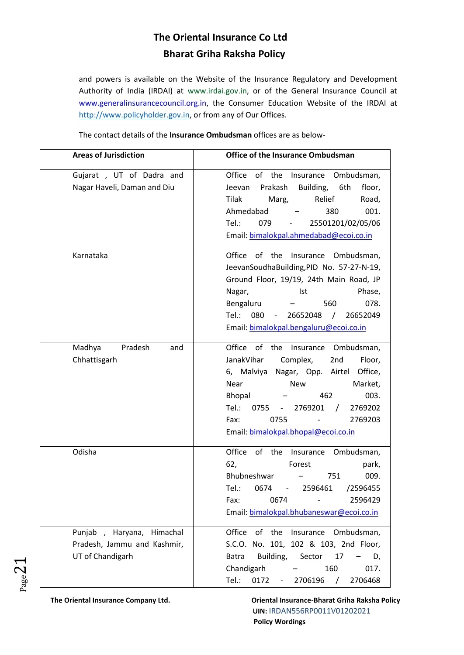and powers is available on the Website of the Insurance Regulatory and Development Authority of India (IRDAI) at [www.irdai.gov.in,](http://www.irdaindia.org/) or of the General Insurance Council at [www.generalinsurancecouncil.org.in,](http://www.generalinsurancecouncil.org.in/) the Consumer Education Website of the IRDAI at [http://www.policyholder.gov.in,](http://www.policyholder.gov.in/) or from any of Our Offices.

The contact details of the **Insurance Ombudsman** offices are as below-

| <b>Areas of Jurisdiction</b>                                                 | <b>Office of the Insurance Ombudsman</b>                                                                                                                                                                                                                                                                                   |
|------------------------------------------------------------------------------|----------------------------------------------------------------------------------------------------------------------------------------------------------------------------------------------------------------------------------------------------------------------------------------------------------------------------|
| Gujarat , UT of Dadra and<br>Nagar Haveli, Daman and Diu                     | Office<br>of the<br>Ombudsman,<br>Insurance<br>Building,<br>Prakash<br>6th<br>floor,<br>Jeevan<br>Tilak<br>Marg,<br>Relief<br>Road,<br>001.<br>Ahmedabad<br>380<br>Tel.:<br>25501201/02/05/06<br>079<br>Email: bimalokpal.ahmedabad@ecoi.co.in                                                                             |
| Karnataka                                                                    | Office of the<br>Insurance Ombudsman,<br>JeevanSoudhaBuilding, PID No. 57-27-N-19,<br>Ground Floor, 19/19, 24th Main Road, JP<br>Phase,<br>Nagar,<br>Ist<br>078.<br>Bengaluru<br>560<br>Tel:<br>080<br>26652048<br>$\sqrt{2}$<br>26652049<br>$\overline{\phantom{a}}$<br>Email: bimalokpal.bengaluru@ecoi.co.in            |
| Madhya<br>Pradesh<br>and<br>Chhattisgarh                                     | Office of the<br>Insurance<br>Ombudsman,<br>Complex,<br>JanakVihar<br>Floor,<br>2nd<br>6, Malviya<br>Nagar, Opp. Airtel<br>Office,<br>Market,<br>Near<br><b>New</b><br>462<br>003.<br><b>Bhopal</b><br>Tel.:<br>0755<br>2769201<br>2769202<br>$\sqrt{ }$<br>Fax:<br>0755<br>2769203<br>Email: bimalokpal.bhopal@ecoi.co.in |
| Odisha                                                                       | Office<br>of the<br>Insurance<br>Ombudsman,<br>62,<br>Forest<br>park,<br>Bhubneshwar<br>751<br>009.<br>Tel.:<br>0674<br>2596461<br>/2596455<br>-<br>0674<br>2596429<br>Fax:<br>Email: bimalokpal.bhubaneswar@ecoi.co.in                                                                                                    |
| Punjab, Haryana, Himachal<br>Pradesh, Jammu and Kashmir,<br>UT of Chandigarh | Office<br>the<br>Ombudsman,<br>of<br>Insurance<br>S.C.O. No. 101, 102 & 103, 2nd Floor,<br><b>Batra</b><br>Building,<br>Sector<br>17<br>D,<br>Chandigarh<br>160<br>017.<br>Tel.:<br>2706468<br>0172<br>2706196                                                                                                             |

 $Page2$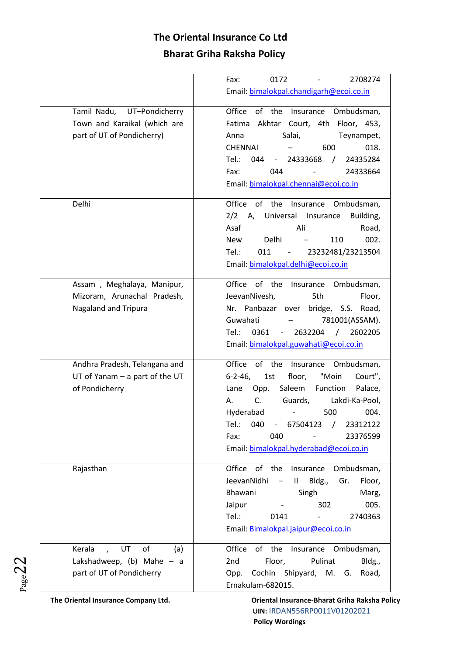|                                           | 0172<br>2708274<br>Fax:                                                       |
|-------------------------------------------|-------------------------------------------------------------------------------|
|                                           | Email: bimalokpal.chandigarh@ecoi.co.in                                       |
| Tamil Nadu,<br>UT-Pondicherry             | Office<br>of the<br>Ombudsman,<br>Insurance                                   |
| Town and Karaikal (which are              | Akhtar Court, 4th Floor, 453,<br>Fatima                                       |
| part of UT of Pondicherry)                | Salai,<br>Anna<br>Teynampet,                                                  |
|                                           | <b>CHENNAI</b><br>018.<br>600                                                 |
|                                           | Tel.:<br>044<br>24333668<br>24335284<br>$\prime$                              |
|                                           | Fax:<br>044<br>24333664                                                       |
|                                           | Email: bimalokpal.chennai@ecoi.co.in                                          |
| Delhi                                     | Office<br>of the<br>Insurance<br>Ombudsman,                                   |
|                                           | 2/2<br>Universal Insurance<br>Building,<br>A,                                 |
|                                           | Asaf<br>Ali<br>Road,                                                          |
|                                           | Delhi<br>110<br>002.<br><b>New</b>                                            |
|                                           | Tel.:<br>011<br>23232481/23213504                                             |
|                                           | Email: bimalokpal.delhi@ecoi.co.in                                            |
| Assam, Meghalaya, Manipur,                | Office of the<br>Insurance<br>Ombudsman,                                      |
| Mizoram, Arunachal Pradesh,               | JeevanNivesh,<br>5th<br>Floor,                                                |
| <b>Nagaland and Tripura</b>               | Nr. Panbazar over<br>bridge, S.S. Road,                                       |
|                                           | Guwahati<br>781001(ASSAM).                                                    |
|                                           | Tel.:<br>2632204<br>0361<br>$\sqrt{2}$<br>2602205<br>$\overline{\phantom{a}}$ |
|                                           | Email: bimalokpal.guwahati@ecoi.co.in                                         |
| Andhra Pradesh, Telangana and             | Office of the<br>Ombudsman,<br>Insurance                                      |
| $UT$ of Yanam $-$ a part of the UT        | 1st<br>"Moin<br>$6 - 2 - 46$<br>floor,<br>Court",                             |
| of Pondicherry                            | Saleem<br>Function<br>Palace,<br>Lane<br>Opp.                                 |
|                                           | C.<br>Guards,<br>Lakdi-Ka-Pool,<br>А.                                         |
|                                           | Hyderabad<br>500<br>004.                                                      |
|                                           | Tel.:<br>67504123<br>040<br>$\omega_{\rm{max}}$<br>23312122<br>$\sqrt{ }$     |
|                                           | Fax:<br>040<br>23376599                                                       |
|                                           | Email: bimalokpal.hyderabad@ecoi.co.in                                        |
| Rajasthan                                 | Office of the<br>Ombudsman,<br>Insurance                                      |
|                                           | JeevanNidhi<br>Bldg.,<br>$\mathbf{II}$<br>Gr.<br>Floor,<br>$\qquad \qquad -$  |
|                                           | Bhawani<br>Singh<br>Marg,                                                     |
|                                           | 302<br>005.<br>Jaipur                                                         |
|                                           | Tel.:<br>0141<br>2740363                                                      |
|                                           | Email: Bimalokpal.jaipur@ecoi.co.in                                           |
| of<br>Kerala<br>UT<br>(a)<br>$\mathbf{r}$ | Office<br>of the<br>Insurance<br>Ombudsman,                                   |
| Lakshadweep, $(b)$ Mahe - a               | 2nd<br>Floor,<br>Pulinat<br>Bldg.,                                            |
| part of UT of Pondicherry                 | Cochin Shipyard, M. G.<br>Opp.<br>Road,                                       |
|                                           | Ernakulam-682015.                                                             |

 $P_{{\rm age}}22$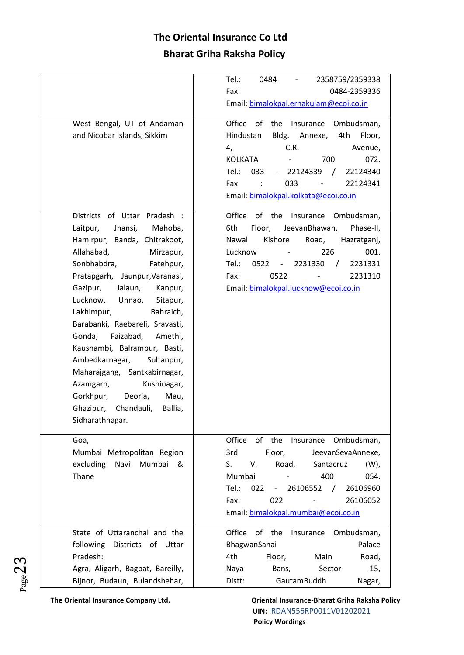|                                  | 2358759/2359338<br>Tel.:<br>0484<br>$\overline{\phantom{a}}$                   |
|----------------------------------|--------------------------------------------------------------------------------|
|                                  | Fax:<br>0484-2359336                                                           |
|                                  | Email: bimalokpal.ernakulam@ecoi.co.in                                         |
| West Bengal, UT of Andaman       | Office of<br>the<br>Insurance<br>Ombudsman,                                    |
| and Nicobar Islands, Sikkim      | Hindustan<br>Bldg.<br>Annexe,<br>4th<br>Floor,                                 |
|                                  | C.R.<br>4,<br>Avenue,                                                          |
|                                  | <b>KOLKATA</b><br>700<br>072.                                                  |
|                                  | Tel.:<br>033<br>22124339<br>22124340<br>$\sqrt{2}$<br>$\overline{\phantom{a}}$ |
|                                  | 033<br>Fax<br>22124341                                                         |
|                                  | Email: bimalokpal.kolkata@ecoi.co.in                                           |
|                                  |                                                                                |
| Districts of Uttar Pradesh :     | Office of the<br>Insurance Ombudsman,                                          |
| Jhansi,<br>Mahoba,<br>Laitpur,   | Floor,<br>6th<br>JeevanBhawan,<br>Phase-II,                                    |
| Hamirpur, Banda, Chitrakoot,     | Nawal<br>Kishore<br>Road,<br>Hazratganj,                                       |
| Allahabad,<br>Mirzapur,          | Lucknow<br>001.<br>226                                                         |
| Sonbhabdra,<br>Fatehpur,         | Tel.:<br>0522<br>2231330<br>2231331<br>$\prime$<br>$\overline{\phantom{a}}$    |
| Pratapgarh, Jaunpur, Varanasi,   | Fax:<br>0522<br>2231310                                                        |
| Gazipur,<br>Jalaun,<br>Kanpur,   | Email: bimalokpal.lucknow@ecoi.co.in                                           |
| Lucknow,<br>Unnao,<br>Sitapur,   |                                                                                |
| Lakhimpur,<br>Bahraich,          |                                                                                |
| Barabanki, Raebareli, Sravasti,  |                                                                                |
| Faizabad,<br>Gonda,<br>Amethi,   |                                                                                |
| Kaushambi, Balrampur, Basti,     |                                                                                |
| Ambedkarnagar,<br>Sultanpur,     |                                                                                |
| Maharajgang, Santkabirnagar,     |                                                                                |
| Azamgarh,<br>Kushinagar,         |                                                                                |
| Gorkhpur,<br>Deoria,<br>Mau,     |                                                                                |
| Ghazipur, Chandauli,<br>Ballia,  |                                                                                |
| Sidharathnagar.                  |                                                                                |
|                                  |                                                                                |
| Goa,                             | Office<br>of the<br>Insurance<br>Ombudsman,                                    |
| Mumbai Metropolitan Region       | 3rd<br>Floor,<br>JeevanSevaAnnexe,                                             |
| excluding Navi<br>Mumbai<br>&    | V.<br>Road,<br>S.<br>Santacruz<br>(W)                                          |
| Thane                            | Mumbai<br>400<br>054.                                                          |
|                                  | Tel.:<br>022<br>26106552<br>26106960<br>$\sqrt{2}$<br>$\overline{\phantom{a}}$ |
|                                  | Fax:<br>022<br>26106052                                                        |
|                                  | Email: bimalokpal.mumbai@ecoi.co.in                                            |
| State of Uttaranchal and the     | Office of the<br>Insurance Ombudsman,                                          |
| following<br>Districts of Uttar  | Palace<br>BhagwanSahai                                                         |
| Pradesh:                         | 4th<br>Floor,<br>Main<br>Road,                                                 |
| Agra, Aligarh, Bagpat, Bareilly, | Bans,<br>Sector<br>15,<br>Naya                                                 |
| Bijnor, Budaun, Bulandshehar,    | Distt:<br>GautamBuddh<br>Nagar,                                                |